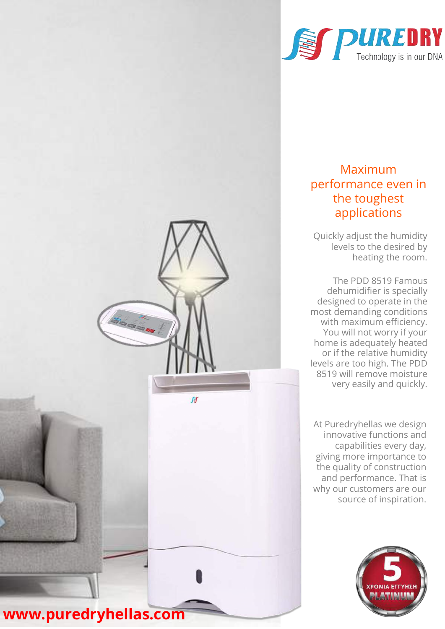

## Maximum performance even in the toughest applications

Quickly adjust the humidity levels to the desired by heating the room.

The PDD 8519 Famous dehumidifier is specially designed to operate in the most demanding conditions with maximum efficiency. You will not worry if your home is adequately heated or if the relative humidity levels are too high. The PDD 8519 will remove moisture very easily and quickly.

At Puredryhellas we design innovative functions and capabilities every day, giving more importance to the quality of construction and performance. That is why our customers are our source of inspiration.





igan .

 $\mathbf{M}$